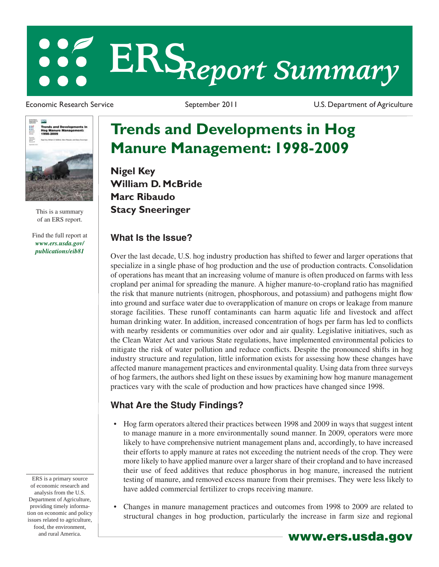# **ERS***Report Summary*

Economic Research Service The September 2011 Contract Dust Dust Department of Agriculture



This is a summary of an ERS report.

Find the full report at *www.ers.usda.gov/ publications/eib81*

ERS is a primary source of economic research and analysis from the U.S. Department of Agriculture, providing timely information on economic and policy issues related to agriculture, food, the environment, and rural America. **www.ers.usda.gov** 

## **Trends and Developments in Hog Manure Management: 1998-2009**

**Nigel Key William D. McBride Marc Ribaudo Stacy Sneeringer**

#### **What Is the Issue?**

Over the last decade, U.S. hog industry production has shifted to fewer and larger operations that specialize in a single phase of hog production and the use of production contracts. Consolidation of operations has meant that an increasing volume of manure is often produced on farms with less cropland per animal for spreading the manure. A higher manure-to-cropland ratio has magnified the risk that manure nutrients (nitrogen, phosphorous, and potassium) and pathogens might flow into ground and surface water due to overapplication of manure on crops or leakage from manure storage facilities. These runoff contaminants can harm aquatic life and livestock and affect human drinking water. In addition, increased concentration of hogs per farm has led to conflicts with nearby residents or communities over odor and air quality. Legislative initiatives, such as the Clean Water Act and various State regulations, have implemented environmental policies to mitigate the risk of water pollution and reduce conflicts. Despite the pronounced shifts in hog industry structure and regulation, little information exists for assessing how these changes have affected manure management practices and environmental quality. Using data from three surveys of hog farmers, the authors shed light on these issues by examining how hog manure management practices vary with the scale of production and how practices have changed since 1998.

### **What Are the Study Findings?**

- Hog farm operators altered their practices between 1998 and 2009 in ways that suggest intent to manage manure in a more environmentally sound manner. In 2009, operators were more likely to have comprehensive nutrient management plans and, accordingly, to have increased their efforts to apply manure at rates not exceeding the nutrient needs of the crop. They were more likely to have applied manure over a larger share of their cropland and to have increased their use of feed additives that reduce phosphorus in hog manure, increased the nutrient testing of manure, and removed excess manure from their premises. They were less likely to have added commercial fertilizer to crops receiving manure.
- Changes in manure management practices and outcomes from 1998 to 2009 are related to structural changes in hog production, particularly the increase in farm size and regional